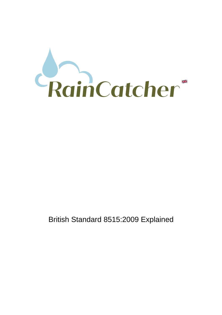

# British Standard 8515:2009 Explained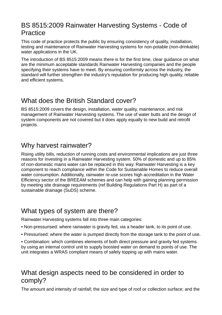# BS 8515:2009 Rainwater Harvesting Systems - Code of Practice

This code of practice protects the public by ensuring consistency of quality, installation, testing and maintenance of Rainwater Harvesting systems for non-potable (non-drinkable) water applications in the UK.

The introduction of BS 8515:2009 means there is for the first time, clear guidance on what are the minimum acceptable standards Rainwater Harvesting companies and the people specifying their systems have to meet. By ensuring conformity across the industry, the standard will further strengthen the industry's reputation for producing high quality, reliable and efficient systems.

# What does the British Standard cover?

BS 8515:2009 covers the design, installation, water quality, maintenance, and risk management of Rainwater Harvesting systems. The use of water butts and the design of system components are not covered but it does apply equally to new build and retrofit projects.

# Why harvest rainwater?

Rising utility bills, reduction of running costs and environmental implications are just three reasons for investing in a Rainwater Harvesting system. 50% of domestic and up to 85% of non-domestic mains water can be replaced in this way. Rainwater Harvesting is a key component to reach compliance within the Code for Sustainable Homes to reduce overall water consumption. Additionally, rainwater re-use scores high accreditation in the Water Efficiency sector of the BREEAM schemes and can help with gaining planning permission by meeting site drainage requirements (ref Building Regulations Part H) as part of a sustainable drainage (SuDS) scheme.

# What types of system are there?

Rainwater Harvesting systems fall into three main categories:

- Non-pressurised: where rainwater is gravity fed, via a header tank, to its point of use.
- Pressurised: where the water is pumped directly from the storage tank to the point of use.

• Combination: which combines elements of both direct pressure and gravity fed systems by using an internal control unit to supply boosted water on demand to points of use. The unit integrates a WRAS compliant means of safely topping up with mains water.

# What design aspects need to be considered in order to comply?

The amount and intensity of rainfall; the size and type of roof or collection surface; and the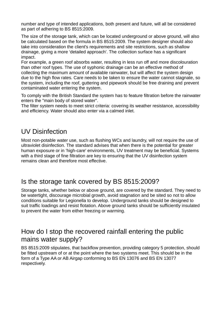number and type of intended applications, both present and future, will all be considered as part of adhering to BS 8515:2009.

The size of the storage tank, which can be located underground or above ground, will also be calculated based on the formula in BS 8515:2009. The system designer should also take into consideration the client's requirements and site restrictions, such as shallow drainage, giving a more 'detailed approach'. The collection surface has a significant impact.

For example, a green roof absorbs water, resulting in less run off and more discolouration than other roof types. The use of syphonic drainage can be an effective method of collecting the maximum amount of available rainwater, but will affect the system design due to the high flow rates. Care needs to be taken to ensure the water cannot stagnate, so the system, including the roof, guttering and pipework should be free draining and prevent contaminated water entering the system.

To comply with the British Standard the system has to feature filtration before the rainwater enters the "main body of stored water".

The filter system needs to meet strict criteria: covering its weather resistance, accessibility and efficiency. Water should also enter via a calmed inlet.

### UV Disinfection

Most non-potable water use, such as flushing WCs and laundry, will not require the use of ultraviolet disinfection. The standard advises that when there is the potential for greater human exposure or in 'high-care' environments, UV treatment may be beneficial. Systems with a third stage of fine filtration are key to ensuring that the UV disinfection system remains clean and therefore most effective.

### Is the storage tank covered by BS 8515:2009?

Storage tanks, whether below or above ground, are covered by the standard. They need to be watertight, discourage microbial growth, avoid stagnation and be sited so not to allow conditions suitable for Legionella to develop. Underground tanks should be designed to suit traffic loadings and resist flotation. Above ground tanks should be sufficiently insulated to prevent the water from either freezing or warming.

#### How do I stop the recovered rainfall entering the public mains water supply?

BS 8515:2009 stipulates, that backflow prevention, providing category 5 protection, should be fitted upstream of or at the point where the two systems meet. This should be in the form of a Type AA or AB Airgap conforming to BS EN 13076 and BS EN 13077 respectively.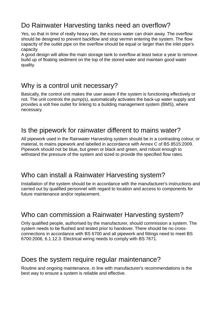# Do Rainwater Harvesting tanks need an overflow?

Yes, so that in time of really heavy rain, the excess water can drain away. The overflow should be designed to prevent backflow and stop vermin entering the system. The flow capacity of the outlet pipe on the overflow should be equal or larger than the inlet pipe's capacity.

A good design will allow the main storage tank to overflow at least twice a year to remove build up of floating sediment on the top of the stored water and maintain good water quality.

# Why is a control unit necessary?

Basically, the control unit makes the user aware if the system is functioning effectively or not. The unit controls the pump(s), automatically activates the back-up water supply and provides a volt free outlet for linking to a building management system (BMS), where necessary.

### Is the pipework for rainwater different to mains water?

All pipework used in the Rainwater Harvesting system should be in a contrasting colour, or material, to mains pipework and labelled in accordance with Annex C of BS 8515:2009. Pipework should not be blue, but green or black and green, and robust enough to withstand the pressure of the system and sized to provide the specified flow rates.

### Who can install a Rainwater Harvesting system?

Installation of the system should be in accordance with the manufacturer's instructions and carried out by qualified personnel with regard to location and access to components for future maintenance and/or replacement.

# Who can commission a Rainwater Harvesting system?

Only qualified people, authorised by the manufacturer, should commission a system. The system needs to be flushed and tested prior to handover. There should be no crossconnections in accordance with BS 6700 and all pipework and fittings need to meet BS 6700:2006, 6.1.12.3. Electrical wiring needs to comply with BS 7671.

# Does the system require regular maintenance?

Routine and ongoing maintenance, in line with manufacturer's recommendations is the best way to ensure a system is reliable and effective.